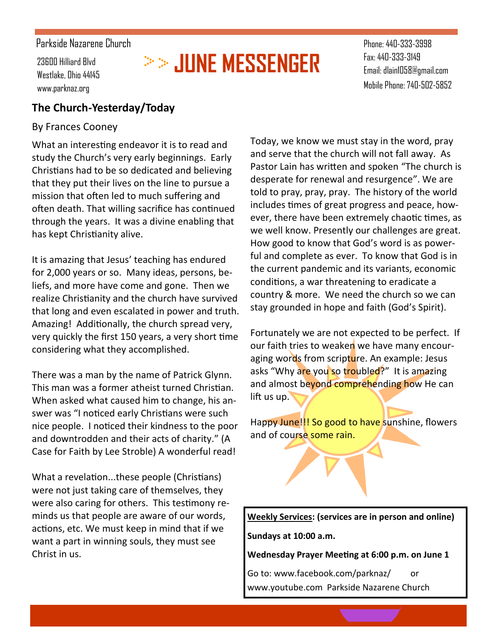#### Parkside Nazarene Church

Westlake, Ohio 44145 www.parknaz.org

# **23600 Hilliard Blvd 2000 - 2000 - 2000 - 2000 - 2000 - 2000 - 2000 - 2000 - 2000 - 2000 - 2000 - 2000 - 2000 - 2000 - 2000 - 2000 - 2000 - 2000 - 2000 - 2000 - 2000 - 2000 - 2000 - 2000 - 2000 - 2000 - 2000 - 2000 - 200**

Phone: 440-333-3998 Fax: 440-333-3149 Email: dlain1058@gmail.com Mobile Phone: 740-502-5852

#### **The Church-Yesterday/Today**

#### By Frances Cooney

What an interesting endeavor it is to read and study the Church's very early beginnings. Early Christians had to be so dedicated and believing that they put their lives on the line to pursue a mission that often led to much suffering and often death. That willing sacrifice has continued through the years. It was a divine enabling that has kept Christianity alive.

It is amazing that Jesus' teaching has endured for 2,000 years or so. Many ideas, persons, beliefs, and more have come and gone. Then we realize Christianity and the church have survived that long and even escalated in power and truth. Amazing! Additionally, the church spread very, very quickly the first 150 years, a very short time considering what they accomplished.

There was a man by the name of Patrick Glynn. This man was a former atheist turned Christian. When asked what caused him to change, his answer was "I noticed early Christians were such nice people. I noticed their kindness to the poor and downtrodden and their acts of charity." (A Case for Faith by Lee Stroble) A wonderful read!

What a revelation...these people (Christians) were not just taking care of themselves, they were also caring for others. This testimony reminds us that people are aware of our words, actions, etc. We must keep in mind that if we want a part in winning souls, they must see Christ in us.

Today, we know we must stay in the word, pray and serve that the church will not fall away. As Pastor Lain has written and spoken "The church is desperate for renewal and resurgence". We are told to pray, pray, pray. The history of the world includes times of great progress and peace, however, there have been extremely chaotic times, as we well know. Presently our challenges are great. How good to know that God's word is as powerful and complete as ever. To know that God is in the current pandemic and its variants, economic conditions, a war threatening to eradicate a country & more. We need the church so we can stay grounded in hope and faith (God's Spirit).

Fortunately we are not expected to be perfect. If our faith tries to weaken we have many encouraging words from scripture. An example: Jesus asks "Why are you so troubled?" It is amazing and almost beyond comprehending how He can lift us up.

Happy June!!! So good to have sunshine, flowers and of course some rain.

**Weekly Services: (services are in person and online) Sundays at 10:00 a.m.** 

**Wednesday Prayer Meeting at 6:00 p.m. on June 1**

Go to: www.facebook.com/parknaz/ or www.youtube.com Parkside Nazarene Church